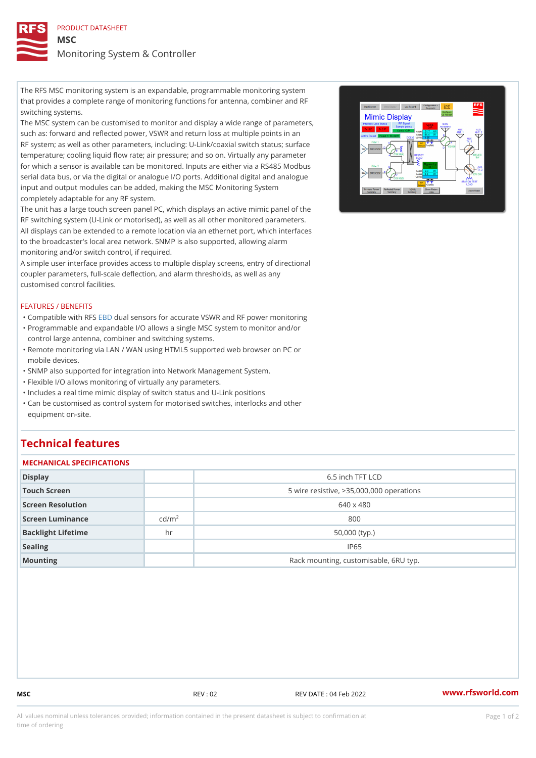PRODUCT DATASHEET MSC Monitoring System & Controller

The RFS MSC monitoring system is an expandable, programmable monitoring system that provides a complete range of monitoring functions for antenna, combiner and RF switching systems.

The MSC system can be customised to monitor and display a wide range of parameters, such as: forward and reflected power, VSWR and return loss at multiple points in an RF system; as well as other parameters, including: U-Link/coaxial switch status; surface temperature; cooling liquid flow rate; air pressure; and so on. Virtually any parameter for which a sensor is available can be monitored. Inputs are either via a RS485 Modbus serial data bus, or via the digital or analogue I/O ports. Additional digital and analogue input and output modules can be added, making the MSC Monitoring System completely adaptable for any RF system.

The unit has a large touch screen panel PC, which displays an active mimic panel of the RF switching system (U-Link or motorised), as well as all other monitored parameters. All displays can be extended to a remote location via an ethernet port, which interfaces to the broadcaster's local area network. SNMP is also supported, allowing alarm monitoring and/or switch control, if required.

A simple user interface provides access to multiple display screens, entry of directional coupler parameters, full-scale deflection, and alarm thresholds, as well as any customised control facilities.

## FEATURES / BENEFITS

"Compatible wiEHB BdFuSal sensors for accurate VSWR and RF power monitoring

- Programmable and expandable I/O allows a single MSC system to monitor and/or " control large antenna, combiner and switching systems.
- Remote monitoring via LAN / WAN using HTML5 supported web browser on PC or " mobile devices.
- "SNMP also supported for integration into Network Management System.
- "Flexible I/O allows monitoring of virtually any parameters.
- "Includes a real time mimic display of switch status and U-Link positions
- Can be customised as control system for motorised switches, interlocks and other " equipment on-site.

## Technical features

| MECHANICAL SPECIFICATIONS |                    |                                            |  |  |
|---------------------------|--------------------|--------------------------------------------|--|--|
| Display                   |                    | 6.5 inch TFT LCD                           |  |  |
| Touch Screen              |                    | 5 wire resistive, $>35,000,000$ operations |  |  |
| Screen Resolution         |                    | 640 x 480                                  |  |  |
| Screen Luminance          | c d/m <sup>2</sup> | 800                                        |  |  |
| Backlight Lifetime        | h r                | $50,000$ (typ.)                            |  |  |
| Sealing                   |                    | IP65                                       |  |  |
| Mounting                  |                    | Rack mounting, customisable, 6RU typ.      |  |  |

MSC REV : 02 REV DATE : 04 Feb 2022 [www.](https://www.rfsworld.com)rfsworld.com